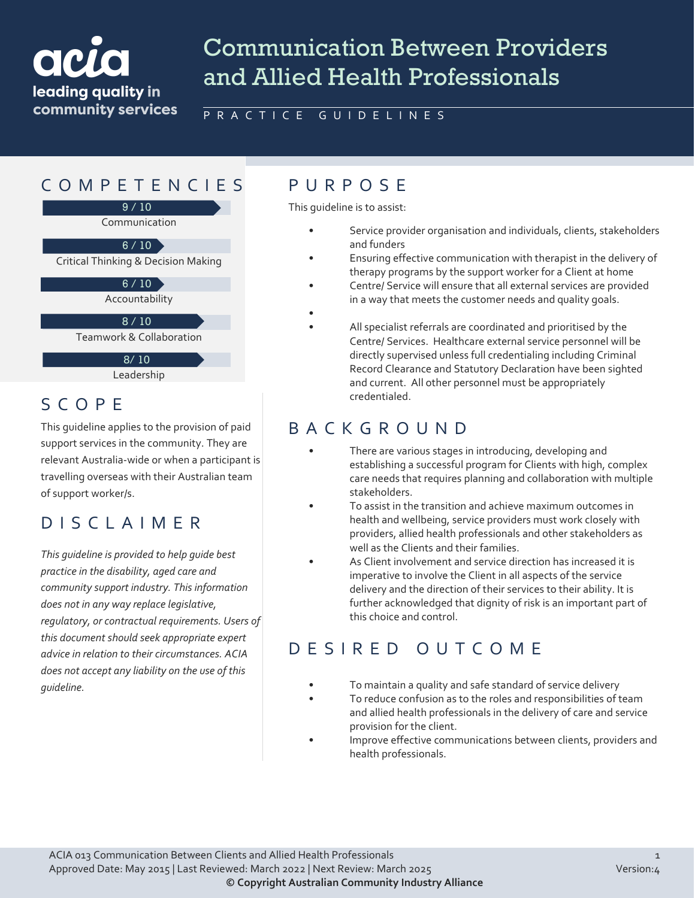# ack leading quality in community services

# Communication Between Providers and Allied Health Professionals

PRACTICE GUIDELINES

•

### COMPETENCIES PURPOS E

9 / 10

Communication

Critical Thinking & Decision Making  $6/10$ 

 $6/10$ 

Accountability

10 / 10 8 / 10

Teamwork & Collaboration

Leadership 8/ 10

#### SCOPE

This guideline applies to the provision of paid support services in the community. They are relevant Australia-wide or when a participant is travelling overseas with their Australian team of support worker/s.

## DISCLAIMER

*This guideline is provided to help guide best practice in the disability, aged care and community support industry. This information does not in any way replace legislative, regulatory, or contractual requirements. Users of this document should seek appropriate expert advice in relation to their circumstances. ACIA does not accept any liability on the use of this guideline.*

This guideline is to assist:

- Service provider organisation and individuals, clients, stakeholders and funders
- Ensuring effective communication with therapist in the delivery of therapy programs by the support worker for a Client at home
- Centre/ Service will ensure that all external services are provided in a way that meets the customer needs and quality goals.
- All specialist referrals are coordinated and prioritised by the Centre/ Services. Healthcare external service personnel will be directly supervised unless full credentialing including Criminal Record Clearance and Statutory Declaration have been sighted and current. All other personnel must be appropriately credentialed.

# BACKGROUND

- There are various stages in introducing, developing and establishing a successful program for Clients with high, complex care needs that requires planning and collaboration with multiple stakeholders.
- To assist in the transition and achieve maximum outcomes in health and wellbeing, service providers must work closely with providers, allied health professionals and other stakeholders as well as the Clients and their families.
- As Client involvement and service direction has increased it is imperative to involve the Client in all aspects of the service delivery and the direction of their services to their ability. It is further acknowledged that dignity of risk is an important part of this choice and control.

## DESIRED OUT COME

- To maintain a quality and safe standard of service delivery
	- To reduce confusion as to the roles and responsibilities of team and allied health professionals in the delivery of care and service provision for the client.
- Improve effective communications between clients, providers and health professionals.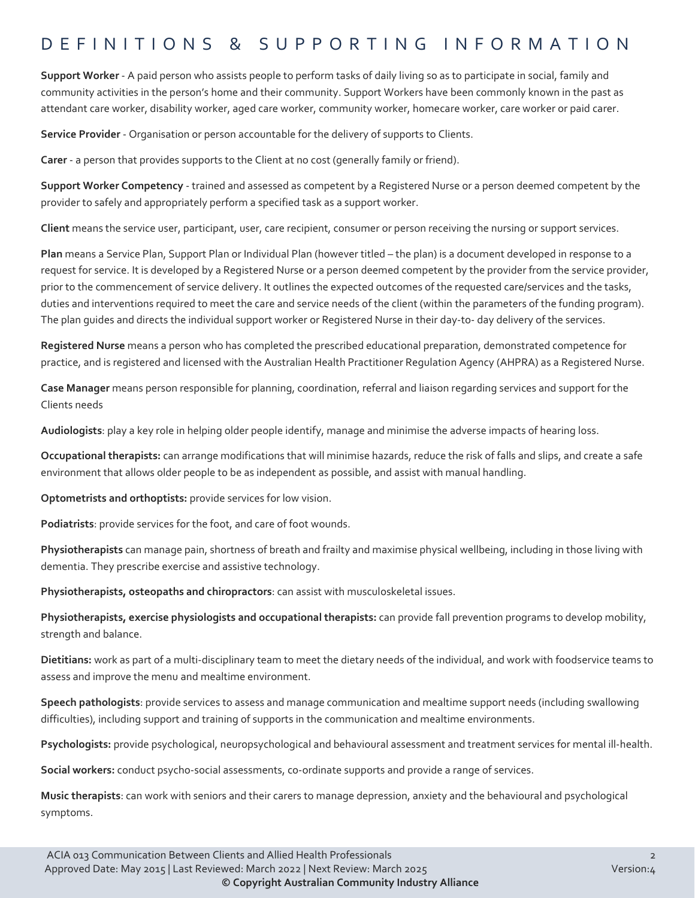#### DEFINITIONS & SUPPORTING INFORMATIO N

**Support Worker** - A paid person who assists people to perform tasks of daily living so as to participate in social, family and community activities in the person's home and their community. Support Workers have been commonly known in the past as attendant care worker, disability worker, aged care worker, community worker, homecare worker, care worker or paid carer.

**Service Provider** - Organisation or person accountable for the delivery of supports to Clients.

**Carer** - a person that provides supports to the Client at no cost (generally family or friend).

**Support Worker Competency** - trained and assessed as competent by a Registered Nurse or a person deemed competent by the provider to safely and appropriately perform a specified task as a support worker.

**Client** means the service user, participant, user, care recipient, consumer or person receiving the nursing or support services.

**Plan** means a Service Plan, Support Plan or Individual Plan (however titled – the plan) is a document developed in response to a request for service. It is developed by a Registered Nurse or a person deemed competent by the provider from the service provider, prior to the commencement of service delivery. It outlines the expected outcomes of the requested care/services and the tasks, duties and interventions required to meet the care and service needs of the client (within the parameters of the funding program). The plan guides and directs the individual support worker or Registered Nurse in their day-to- day delivery of the services.

**Registered Nurse** means a person who has completed the prescribed educational preparation, demonstrated competence for practice, and is registered and licensed with the Australian Health Practitioner Regulation Agency (AHPRA) as a Registered Nurse.

**Case Manager** means person responsible for planning, coordination, referral and liaison regarding services and support for the Clients needs

**Audiologists**: play a key role in helping older people identify, manage and minimise the adverse impacts of hearing loss.

**Occupational therapists:** can arrange modifications that will minimise hazards, reduce the risk of falls and slips, and create a safe environment that allows older people to be as independent as possible, and assist with manual handling.

**Optometrists and orthoptists:** provide services for low vision.

**Podiatrists**: provide services for the foot, and care of foot wounds.

**Physiotherapists** can manage pain, shortness of breath and frailty and maximise physical wellbeing, including in those living with dementia. They prescribe exercise and assistive technology.

**Physiotherapists, osteopaths and chiropractors**: can assist with musculoskeletal issues.

**Physiotherapists, exercise physiologists and occupational therapists:** can provide fall prevention programs to develop mobility, strength and balance.

**Dietitians:** work as part of a multi-disciplinary team to meet the dietary needs of the individual, and work with foodservice teams to assess and improve the menu and mealtime environment.

**Speech pathologists**: provide services to assess and manage communication and mealtime support needs (including swallowing difficulties), including support and training of supports in the communication and mealtime environments.

**Psychologists:** provide psychological, neuropsychological and behavioural assessment and treatment services for mental ill-health.

**Social workers:** conduct psycho-social assessments, co-ordinate supports and provide a range of services.

**Music therapists**: can work with seniors and their carers to manage depression, anxiety and the behavioural and psychological symptoms.